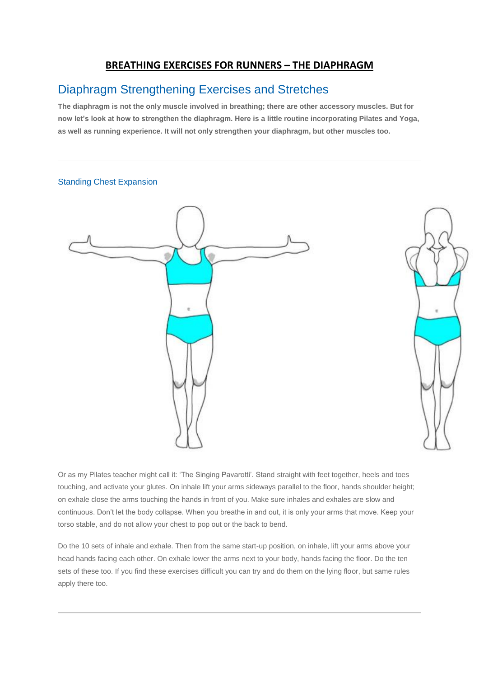### **BREATHING EXERCISES FOR RUNNERS – THE DIAPHRAGM**

## Diaphragm Strengthening Exercises and Stretches

**The diaphragm is not the only muscle involved in breathing; there are other accessory muscles. But for now let's look at how to strengthen the diaphragm. Here is a little routine incorporating Pilates and Yoga, as well as running experience. It will not only strengthen your diaphragm, but other muscles too.**

### Standing Chest Expansion





Or as my Pilates teacher might call it: 'The Singing Pavarotti'. Stand straight with feet together, heels and toes touching, and activate your glutes. On inhale lift your arms sideways parallel to the floor, hands shoulder height; on exhale close the arms touching the hands in front of you. Make sure inhales and exhales are slow and continuous. Don't let the body collapse. When you breathe in and out, it is only your arms that move. Keep your torso stable, and do not allow your chest to pop out or the back to bend.

Do the 10 sets of inhale and exhale. Then from the same start-up position, on inhale, lift your arms above your head hands facing each other. On exhale lower the arms next to your body, hands facing the floor. Do the ten sets of these too. If you find these exercises difficult you can try and do them on the lying floor, but same rules apply there too.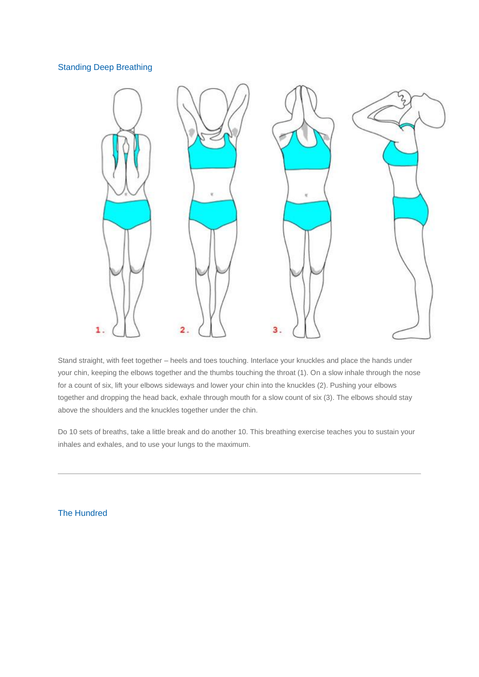#### Standing Deep Breathing



Stand straight, with feet together – heels and toes touching. Interlace your knuckles and place the hands under your chin, keeping the elbows together and the thumbs touching the throat (1). On a slow inhale through the nose for a count of six, lift your elbows sideways and lower your chin into the knuckles (2). Pushing your elbows together and dropping the head back, exhale through mouth for a slow count of six (3). The elbows should stay above the shoulders and the knuckles together under the chin.

Do 10 sets of breaths, take a little break and do another 10. This breathing exercise teaches you to sustain your inhales and exhales, and to use your lungs to the maximum.

#### The Hundred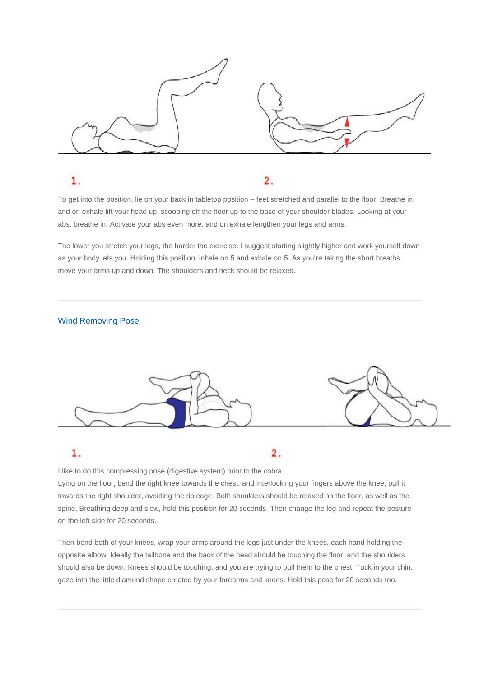

### 1.

 $2.$ 

To get into the position, lie on your back in tabletop position – feet stretched and parallel to the floor. Breathe in, and on exhale lift your head up, scooping off the floor up to the base of your shoulder blades. Looking at your abs, breathe in. Activate your abs even more, and on exhale lengthen your legs and arms.

The lower you stretch your legs, the harder the exercise. I suggest starting slightly higher and work yourself down as your body lets you. Holding this position, inhale on 5 and exhale on 5. As you're taking the short breaths, move your arms up and down. The shoulders and neck should be relaxed.

### Wind Removing Pose



# 1.

 $2.$ 

I like to do this compressing pose (digestive system) prior to the cobra.

Lying on the floor, bend the right knee towards the chest, and interlocking your fingers above the knee, pull it towards the right shoulder, avoiding the rib cage. Both shoulders should be relaxed on the floor, as well as the spine. Breathing deep and slow, hold this position for 20 seconds. Then change the leg and repeat the posture on the left side for 20 seconds.

Then bend both of your knees, wrap your arms around the legs just under the knees, each hand holding the opposite elbow. Ideally the tailbone and the back of the head should be touching the floor, and the shoulders should also be down. Knees should be touching, and you are trying to pull them to the chest. Tuck in your chin, gaze into the little diamond shape created by your forearms and knees. Hold this pose for 20 seconds too.